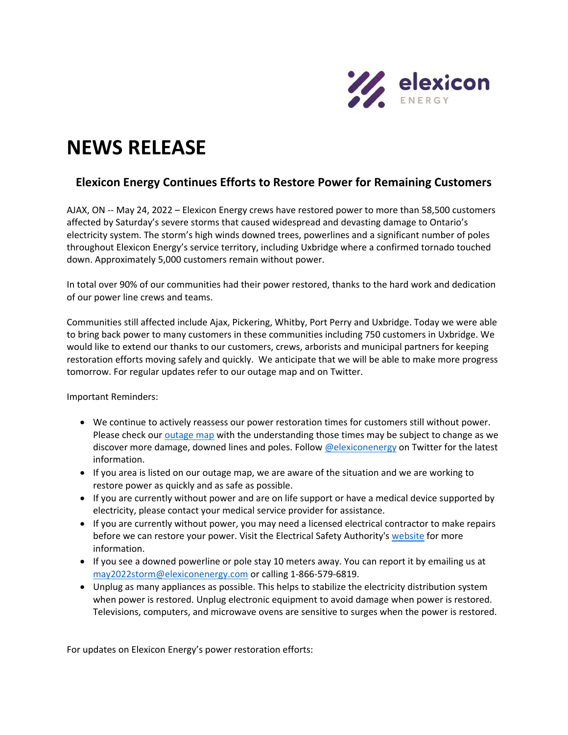

## **NEWS RELEASE**

## **Elexicon Energy Continues Efforts to Restore Power for Remaining Customers**

AJAX, ON -- May 24, 2022 – Elexicon Energy crews have restored power to more than 58,500 customers affected by Saturday's severe storms that caused widespread and devasting damage to Ontario's electricity system. The storm's high winds downed trees, powerlines and a significant number of poles throughout Elexicon Energy's service territory, including Uxbridge where a confirmed tornado touched down. Approximately 5,000 customers remain without power.

In total over 90% of our communities had their power restored, thanks to the hard work and dedication of our power line crews and teams.

Communities still affected include Ajax, Pickering, Whitby, Port Perry and Uxbridge. Today we were able to bring back power to many customers in these communities including 750 customers in Uxbridge. We would like to extend our thanks to our customers, crews, arborists and municipal partners for keeping restoration efforts moving safely and quickly. We anticipate that we will be able to make more progress tomorrow. For regular updates refer to our outage map and on Twitter.

Important Reminders:

- We continue to actively reassess our power restoration times for customers still without power. Please check ou[r outage map](https://elexiconenergy.com/outages) with the understanding those times may be subject to change as we discover more damage, downed lines and poles. Follow [@elexiconenergy](https://twitter.com/ElexiconEnergy) on Twitter for the latest information.
- If you area is listed on our outage map, we are aware of the situation and we are working to restore power as quickly and as safe as possible.
- If you are currently without power and are on life support or have a medical device supported by electricity, please contact your medical service provider for assistance.
- If you are currently without power, you may need a licensed electrical contractor to make repairs before we can restore your power. Visit the Electrical Safety Authority's [website](https://esasafe.com/safety/storm-safety/restoring-power/) for more information.
- If you see a downed powerline or pole stay 10 meters away. You can report it by emailing us at [may2022storm@elexiconenergy.com](mailto:may2022storm@elexiconenergy.com) or calling 1-866-579-6819.
- Unplug as many appliances as possible. This helps to stabilize the electricity distribution system when power is restored. Unplug electronic equipment to avoid damage when power is restored. Televisions, computers, and microwave ovens are sensitive to surges when the power is restored.

For updates on Elexicon Energy's power restoration efforts: